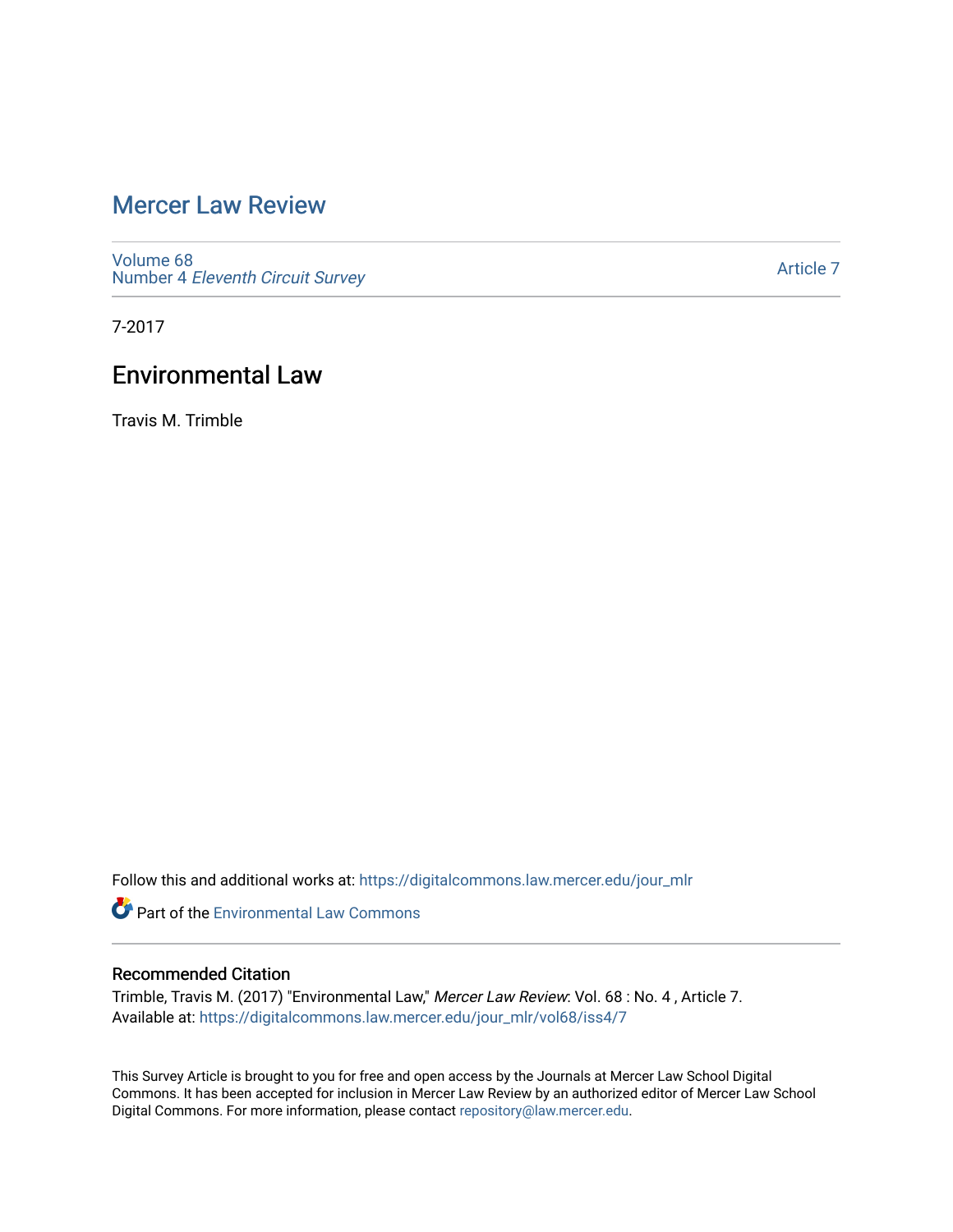# [Mercer Law Review](https://digitalcommons.law.mercer.edu/jour_mlr)

[Volume 68](https://digitalcommons.law.mercer.edu/jour_mlr/vol68) Number 4 [Eleventh Circuit Survey](https://digitalcommons.law.mercer.edu/jour_mlr/vol68/iss4) 

[Article 7](https://digitalcommons.law.mercer.edu/jour_mlr/vol68/iss4/7) 

7-2017

## Environmental Law

Travis M. Trimble

Follow this and additional works at: [https://digitalcommons.law.mercer.edu/jour\\_mlr](https://digitalcommons.law.mercer.edu/jour_mlr?utm_source=digitalcommons.law.mercer.edu%2Fjour_mlr%2Fvol68%2Fiss4%2F7&utm_medium=PDF&utm_campaign=PDFCoverPages)

**C** Part of the [Environmental Law Commons](http://network.bepress.com/hgg/discipline/599?utm_source=digitalcommons.law.mercer.edu%2Fjour_mlr%2Fvol68%2Fiss4%2F7&utm_medium=PDF&utm_campaign=PDFCoverPages)

### Recommended Citation

Trimble, Travis M. (2017) "Environmental Law," Mercer Law Review: Vol. 68 : No. 4 , Article 7. Available at: [https://digitalcommons.law.mercer.edu/jour\\_mlr/vol68/iss4/7](https://digitalcommons.law.mercer.edu/jour_mlr/vol68/iss4/7?utm_source=digitalcommons.law.mercer.edu%2Fjour_mlr%2Fvol68%2Fiss4%2F7&utm_medium=PDF&utm_campaign=PDFCoverPages)

This Survey Article is brought to you for free and open access by the Journals at Mercer Law School Digital Commons. It has been accepted for inclusion in Mercer Law Review by an authorized editor of Mercer Law School Digital Commons. For more information, please contact [repository@law.mercer.edu](mailto:repository@law.mercer.edu).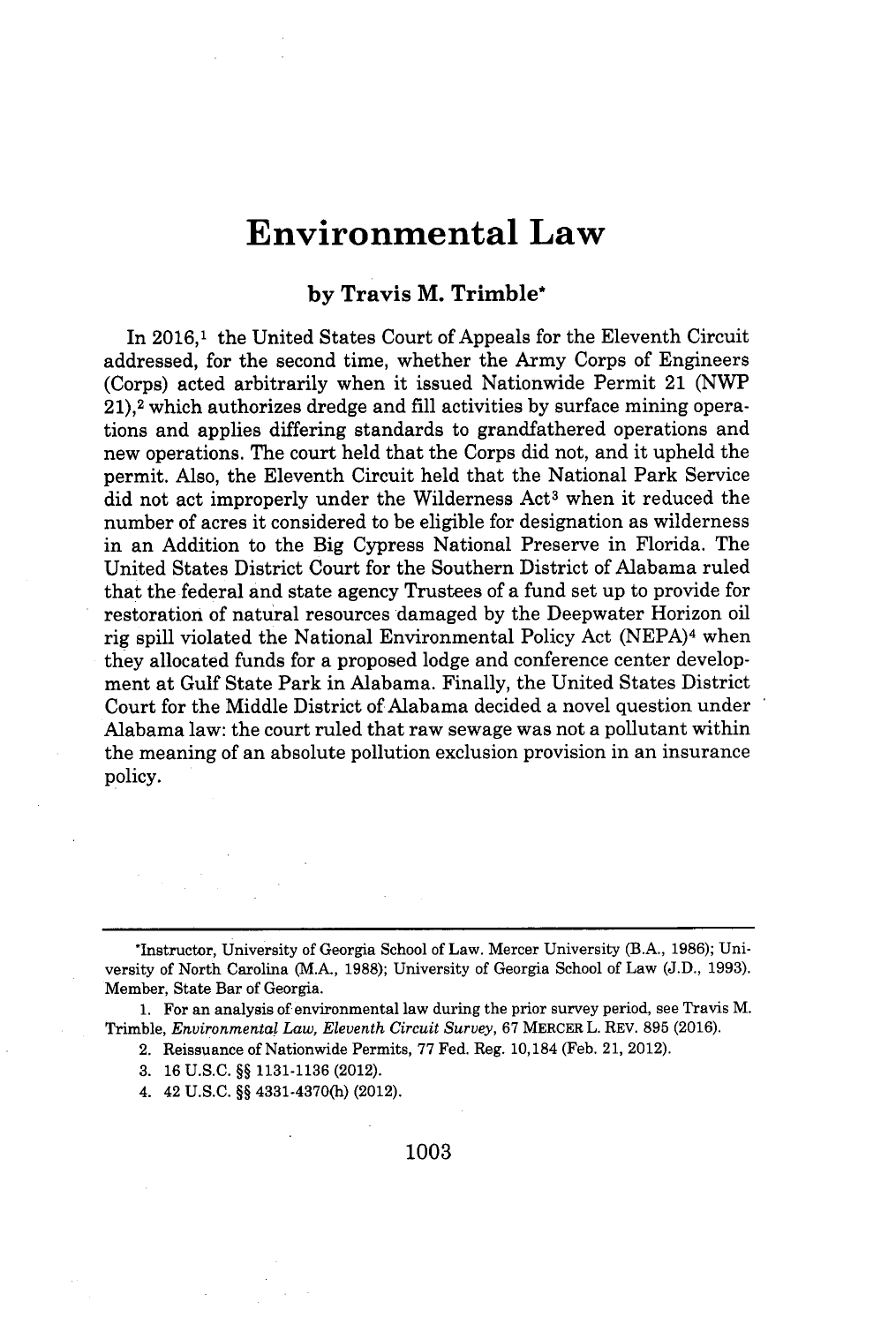## **Environmental Law**

### **by Travis M. Trimble\***

In **2016,1** the United States Court of Appeals for the Eleventh Circuit addressed, for the second time, whether the Army Corps of Engineers (Corps) acted arbitrarily when it issued Nationwide Permit 21 **(NWP 21),2** which authorizes dredge and **fill** activities **by** surface mining operations and applies differing standards to grandfathered operations and new operations. The court held that the Corps did not, and it upheld the permit. Also, the Eleventh Circuit held that the National Park Service did not act improperly under the Wilderness Act<sup>3</sup> when it reduced the number of acres it considered to be eligible for designation as wilderness in an Addition to the Big Cypress National Preserve in Florida. The United States District Court for the Southern District of Alabama ruled that the federal and state agency Trustees of a fund set up to provide for restoration of natural resources damaged **by** the Deepwater Horizon oil rig spill violated the National Environmental Policy Act **(NEPA)4** when they allocated funds for a proposed lodge and conference center development at Gulf State Park in Alabama. Finally, the United States District Court for the Middle District of Alabama decided a novel question under Alabama law: the court ruled that raw sewage was not a pollutant within the meaning of an absolute pollution exclusion provision in an insurance policy.

**1.** For an analysis of environmental law during the prior survey period, see Travis M. Trimble, *Environmental Law, Eleventh Circuit Survey,* **67** MERCER L. REV. **895 (2016).**

- 2. Reissuance of Nationwide Permits, **77** Fed. Reg. 10,184 (Feb. 21, 2012).
- **3. 16 U.S.C. §§ 1131-1136** (2012).
- 4. 42 **U.S.C. §§** 4331-4370(h) (2012).

**1003**

<sup>\*</sup>Instructor, University of Georgia School of Law. Mercer University (B.A., **1986);** University of North Carolina (M.A., **1988);** University of Georgia School of Law **(J.D., 1993).** Member, State Bar of Georgia.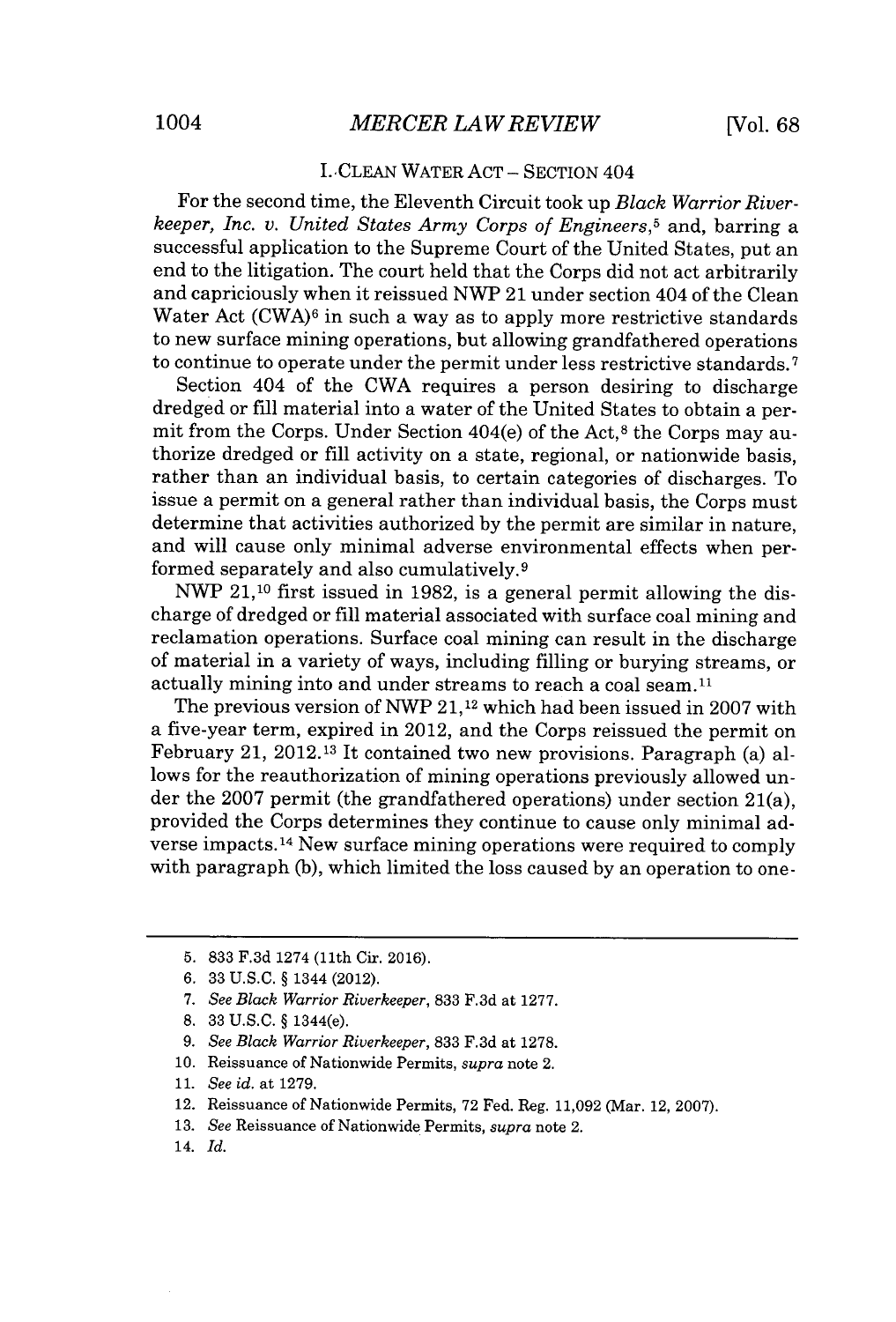#### I.. CLEAN WATER **ACT -** SECTION 404

For the second time, the Eleventh Circuit took up *Black Warrior Riverkeeper, Inc. v. United States Army Corps of Engineers,<sup>5</sup>*and, barring a successful application to the Supreme Court of the United States, put an end to the litigation. The court held that the Corps did not act arbitrarily and capriciously when it reissued NWP 21 under section 404 of the Clean Water Act **(CWA)6** in such a way as to apply more restrictive standards to new surface mining operations, but allowing grandfathered operations to continue to operate under the permit under less restrictive standards.<sup>7</sup>

Section 404 of the CWA requires a person desiring to discharge dredged or fill material into a water of the United States to obtain a permit from the Corps. Under Section 404(e) of the Act,<sup>8</sup> the Corps may authorize dredged or **fill** activity on a state, regional, or nationwide basis, rather than an individual basis, to certain categories of discharges. To issue a permit on a general rather than individual basis, the Corps must determine that activities authorized **by** the permit are similar in nature, and will cause only minimal adverse environmental effects when performed separately and also cumulatively.<sup>9</sup>

NWP 21,10 first issued in **1982,** is a general permit allowing the discharge of dredged or **fill** material associated with surface coal mining and reclamation operations. Surface coal mining can result in the discharge of material in a variety of ways, including filling or burying streams, or actually mining into and under streams to reach a coal seam.<sup>11</sup>

The previous version of NWP **21,12** which had been issued in **2007** with a five-year term, expired in 2012, and the Corps reissued the permit on February 21, 2012.13 It contained two new provisions. Paragraph (a) allows for the reauthorization of mining operations previously allowed under the **2007** permit (the grandfathered operations) under section 21(a), provided the Corps determines they continue to cause only minimal adverse impacts.<sup>14</sup> New surface mining operations were required to comply with paragraph **(b),** which limited the loss caused **by** an operation to one-

- **13.** *See* Reissuance of Nationwide Permits, *supra* note 2.
- 14. *Id.*

**<sup>5. 833</sup> F.3d** 1274 (11th Cir. **2016).**

**<sup>6. 33</sup> U.S.C.** *§* 1344 (2012).

**<sup>7.</sup>** *See Black Warrior Riverkeeper,* **833 F.3d** at **1277.**

**<sup>8. 33</sup> U.S.C.** *§* 1344(e).

*<sup>9.</sup> See Black Warrior Riverkeeper,* **833 F.3d** at **1278.**

**<sup>10.</sup>** Reissuance of Nationwide Permits, *supra* note 2.

**<sup>11.</sup>** *See id. at* **1279.**

<sup>12.</sup> Reissuance of Nationwide Permits, **72** Fed. Reg. **11,092** (Mar. 12, **2007).**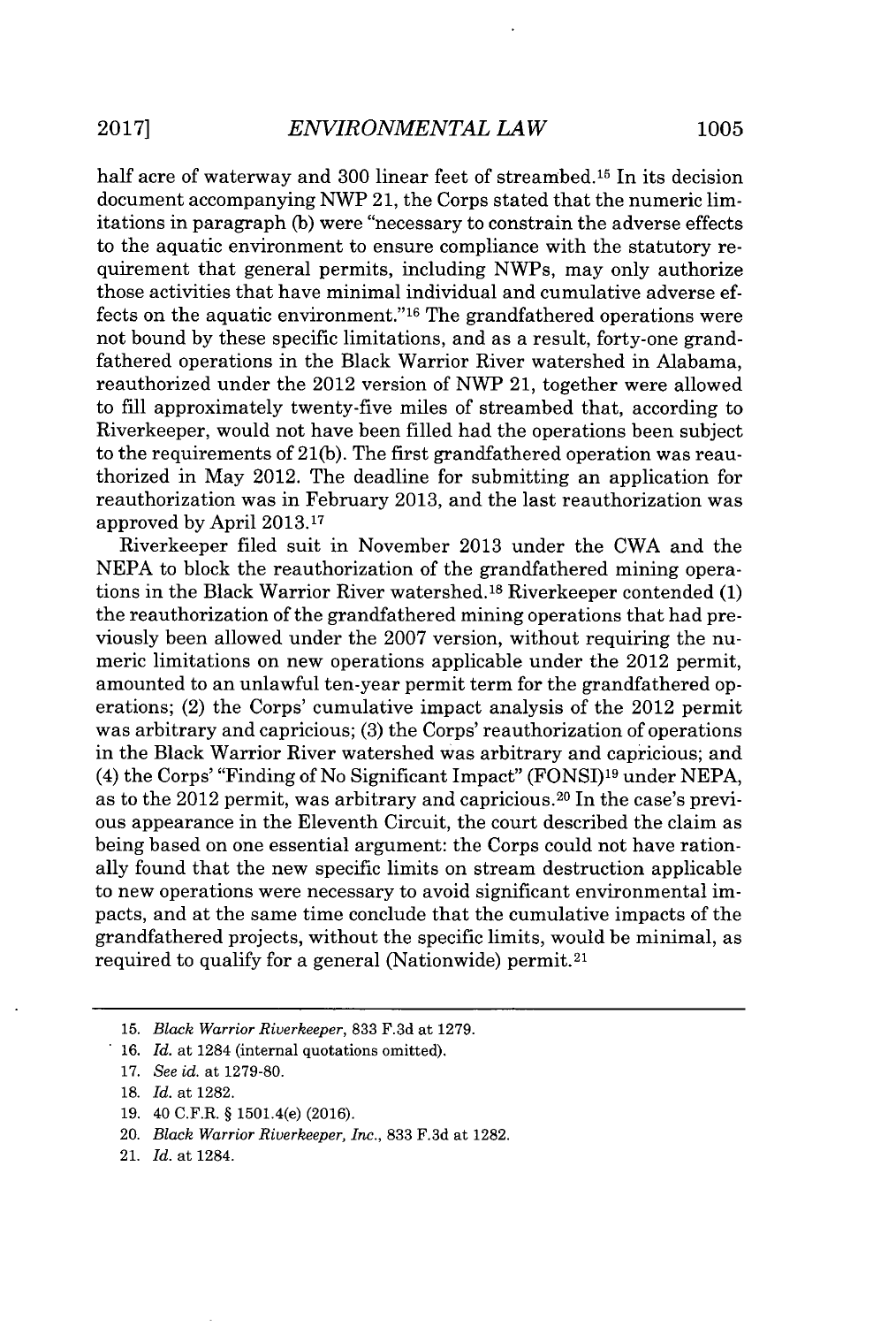half acre of waterway and 300 linear feet of streambed.<sup>15</sup> In its decision document accompanying NWP 21, the Corps stated that the numeric limitations in paragraph **(b)** were "necessary to constrain the adverse effects to the aquatic environment to ensure compliance with the statutory requirement that general permits, including NWPs, may only authorize those activities that have minimal individual and cumulative adverse effects on the aquatic environment." $16$  The grandfathered operations were not bound **by** these specific limitations, and as a result, forty-one grandfathered operations in the Black Warrior River watershed in Alabama, reauthorized under the 2012 version of NWP 21, together were allowed to fill approximately twenty-five miles of streambed that, according to Riverkeeper, would not have been filled had the operations been subject to the requirements of **21(b).** The first grandfathered operation was reauthorized in May 2012. The deadline for submitting an application for reauthorization was in February **2013,** and the last reauthorization was approved **by** April **2013.17**

Riverkeeper filed suit in November **2013** under the CWA and the **NEPA** to block the reauthorization of the grandfathered mining operations in the Black Warrior River watershed.<sup>18</sup>Riverkeeper contended **(1)** the reauthorization of the grandfathered mining operations that had previously been allowed under the **2007** version, without requiring the numeric limitations on new operations applicable under the 2012 permit, amounted to an unlawful ten-year permit term for the grandfathered operations; (2) the Corps' cumulative impact analysis of the 2012 permit was arbitrary and capricious; **(3)** the Corps' reauthorization of operations in the Black Warrior River watershed was arbitrary and capricious; and (4) the Corps' "Finding of No Significant Impact" **(FONSI)19** under **NEPA,** as to the  $2012$  permit, was arbitrary and capricious.<sup>20</sup> In the case's previous appearance in the Eleventh Circuit, the court described the claim as being based on one essential argument: the Corps could not have rationally found that the new specific limits on stream destruction applicable to new operations were necessary to avoid significant environmental impacts, and at the same time conclude that the cumulative impacts of the grandfathered projects, without the specific limits, would be minimal, as required to qualify for a general (Nationwide) permit.<sup>21</sup>

**17.** *See id. at* **1279-80.**

- **19.** 40 C.F.R. **§** 1501.4(e) **(2016).**
- 20. *Black Warrior Riverkeeper, Inc.,* **833 F.3d** at **1282.**
- 21. *Id. at* 1284.

**<sup>15.</sup>** *Black Warrior Riverkeeper,* **833 F.3d** at **1279.**

**<sup>16.</sup>** *Id. at* 1284 (internal quotations omitted).

**<sup>18.</sup>** *Id. at* **1282.**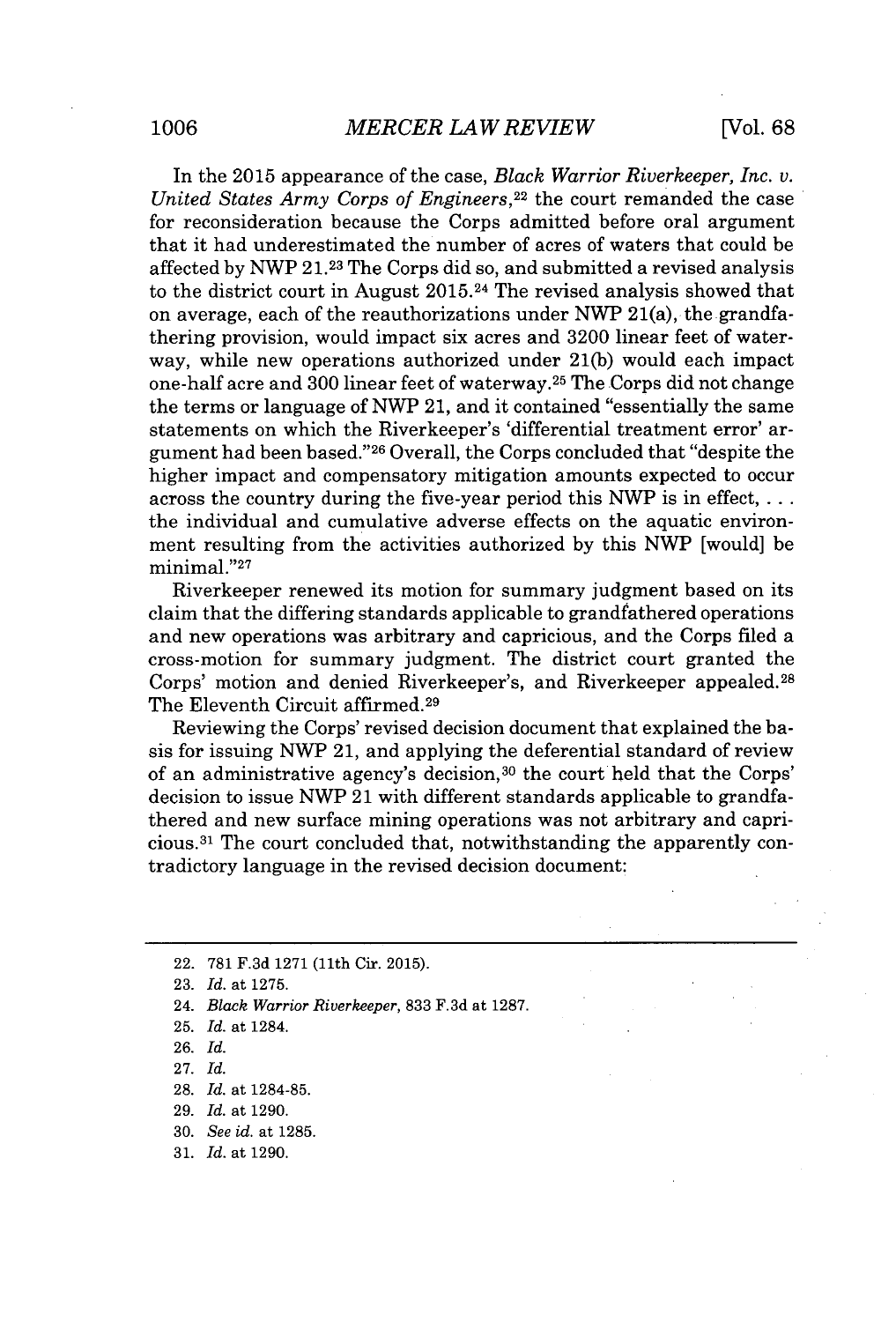In the **2015** appearance of the case, *Black Warrior Riverkeeper, Inc. v. United States Army Corps of Engineers,<sup>22</sup>*the court remanded the case for reconsideration because the Corps admitted before oral argument that it had underestimated the number of acres of waters that could be affected **by** NWP **21.23** The Corps did so, and submitted a revised analysis to the district court in August 2015.24 The revised analysis showed that on average, each of the reauthorizations under NWP 21(a), the grandfathering provision, would impact six acres and **3200** linear feet of waterway, while new operations authorized under **21(b)** would each impact one-half acre and **300** linear feet of waterway. <sup>25</sup>The Corps did not change the terms or language of NWP 21, and it contained "essentially the same statements on which the Riverkeeper's 'differential treatment error' argument had been based."<sup>26</sup> Overall, the Corps concluded that "despite the higher impact and compensatory mitigation amounts expected to occur across the country during the five-year period this NWP is in effect,  $\dots$ the individual and cumulative adverse effects on the aquatic environment resulting from the activities authorized **by** this NWP [would] be minimal."<sup>27</sup>

Riverkeeper renewed its motion for summary judgment based on its claim that the differing standards applicable to grandfathered operations and new operations was arbitrary and capricious, and the Corps filed a cross-motion for summary judgment. The district court granted the Corps' motion and denied Riverkeeper's, and Riverkeeper appealed. <sup>28</sup> The Eleventh Circuit affirmed.<sup>29</sup>

Reviewing the Corps' revised decision document that explained the basis for issuing NWP 21, and applying the deferential standard of review of an administrative agency's decision,<sup>30</sup> the court held that the Corps' decision to issue **NWP** 21 with different standards applicable to grandfathered and new surface mining operations was not arbitrary and capri**cious. <sup>31</sup>**The court concluded that, notwithstanding the apparently contradictory language in the revised decision document:

- **27.** *Id.*
- **28.** *Id. at* **1284-85.**

**30.** *See id. at* **1285.**

<sup>22.</sup> **781 F.3d 1271** (11th Cir. **2015).**

**<sup>23.</sup>** *Id. at* **1275.**

<sup>24.</sup> *Black Warrior Riverkeeper,* **833 F.3d** at **1287.**

**<sup>25.</sup>** *Id. at* 1284.

**<sup>26.</sup>** *Id.*

**<sup>29.</sup>** *Id. at* **1290.**

**<sup>31.</sup>** *Id. at* **1290.**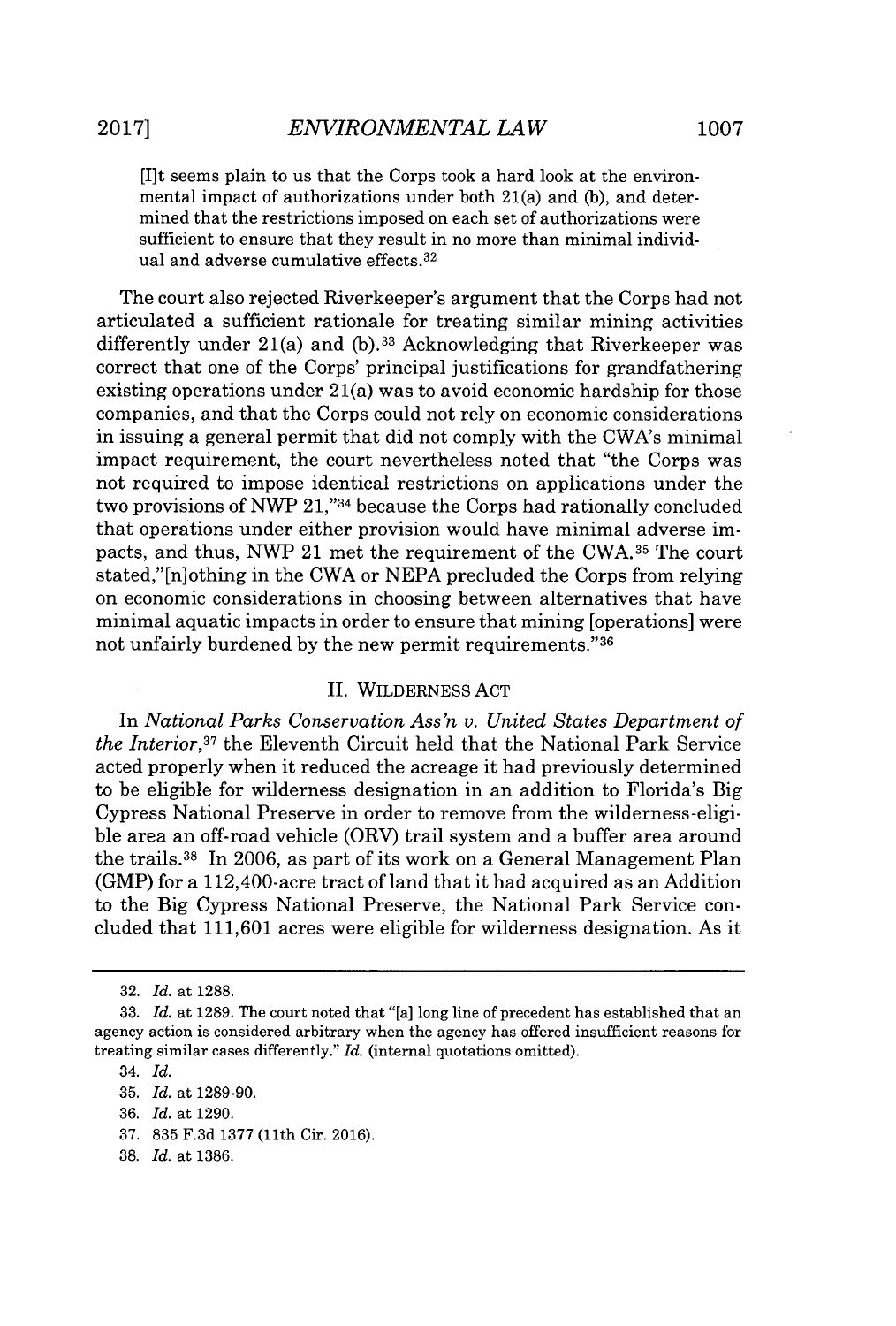[I]t seems plain to us that the Corps took a hard look at the environmental impact of authorizations under both 21(a) and **(b),** and determined that the restrictions imposed on each set of authorizations were sufficient to ensure that they result in no more than minimal individual and adverse cumulative effects. <sup>32</sup>

The court also rejected Riverkeeper's argument that the Corps had not articulated a sufficient rationale for treating similar mining activities differently under 21(a) and **(b).33** Acknowledging that Riverkeeper was correct that one of the Corps' principal justifications for grandfathering existing operations under 21(a) was to avoid economic hardship for those companies, and that the Corps could not rely on economic considerations in issuing a general permit that did not comply with the CWA's minimal impact requirement, the court nevertheless noted that "the Corps was not required to impose identical restrictions on applications under the two provisions of NWP 21,"34 because the Corps had rationally concluded that operations under either provision would have minimal adverse impacts, and thus, NWP 21 met the requirement of the **CWA.35** The court stated," [n] othing in the CWA or **NEPA** precluded the Corps from relying on economic considerations in choosing between alternatives that have minimal aquatic impacts in order to ensure that mining [operations] were not unfairly burdened **by** the new permit requirements." <sup>36</sup>

#### **II.** WILDERNESS **ACT**

In *National Parks Conservation Ass'n v. United States Department of the Interior*<sup>37</sup> the Eleventh Circuit held that the National Park Service acted properly when it reduced the acreage it had previously determined to be eligible for wilderness designation in an addition to Florida's Big Cypress National Preserve in order to remove from the wilderness-eligible area an off-road vehicle (ORV) trail system and a buffer area around the trails. <sup>38</sup>In **2006,** as part of its work on a General Management Plan (GMP) for a 112,400-acre tract of land that it had acquired as an Addition to the Big Cypress National Preserve, the National Park Service concluded that **111,601** acres were eligible for wilderness designation. As it

- **37. 835 F.3d 1377** (11th Cir. **2016).**
- **38.** *Id.* at **1386.**

**<sup>32.</sup>** *Id.* at **1288.**

**<sup>33.</sup>** *Id.* at **1289.** The court noted that "[a] long line of precedent has established that an agency action is considered arbitrary when the agency has offered insufficient reasons for treating similar cases differently." *Id.* (internal quotations omitted).

<sup>34.</sup> *Id.*

**<sup>35.</sup>** *Id.* at **1289-90.**

**<sup>36.</sup>** *Id.* at **1290.**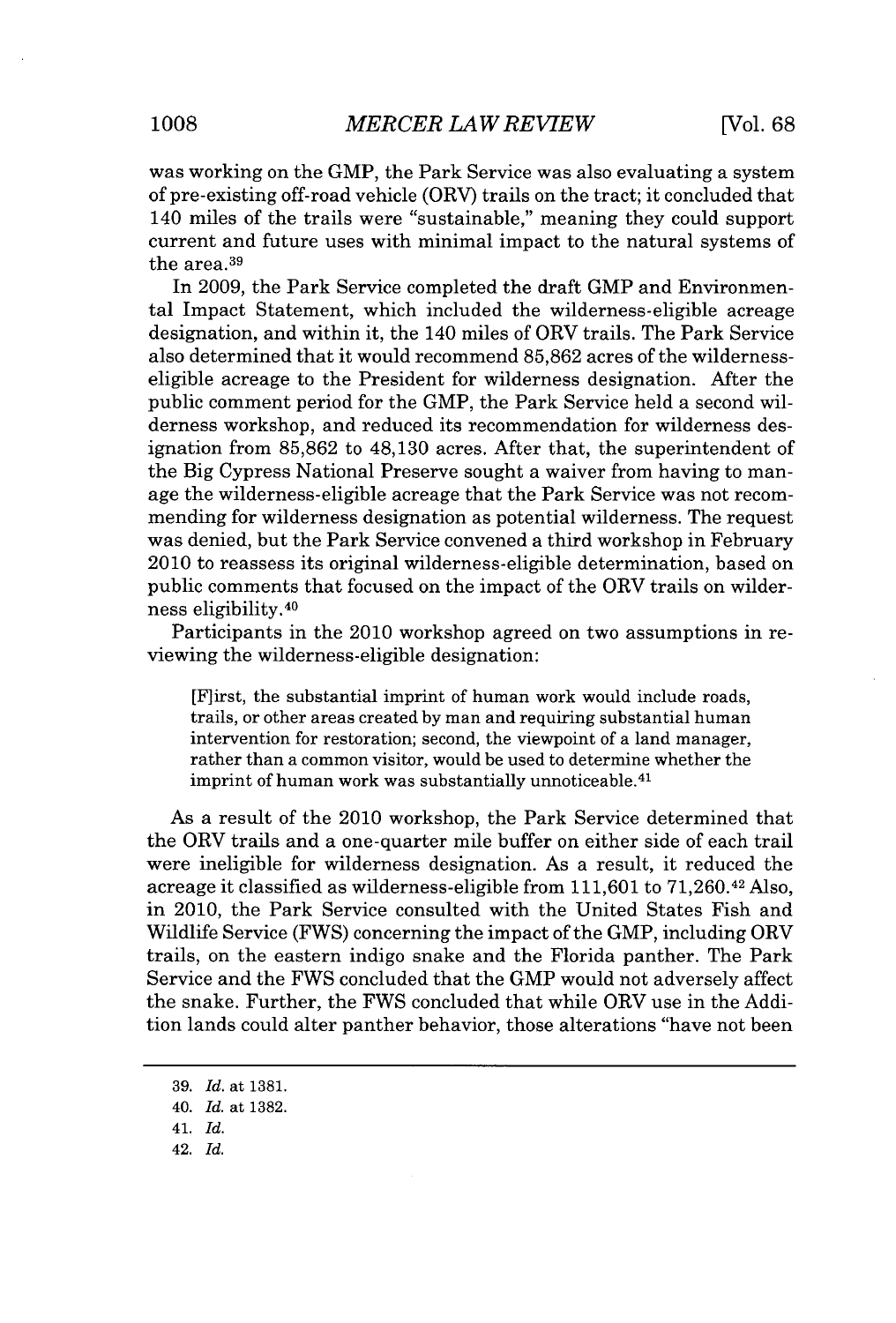was working on the GMP, the Park Service was also evaluating a system of pre-existing off-road vehicle (ORV) trails on the tract; it concluded that 140 miles of the trails were "sustainable," meaning they could support current and future uses with minimal impact to the natural systems of the area. <sup>39</sup>

In **2009,** the Park Service completed the draft GMP and Environmental Impact Statement, which included the wilderness-eligible acreage designation, and within it, the 140 miles of ORV trails. The Park Service also determined that it would recommend **85,862** acres of the wildernesseligible acreage to the President for wilderness designation. After the public comment period for the GMP, the Park Service held a second wilderness workshop, and reduced its recommendation for wilderness designation from **85,862** to 48,130 acres. After that, the superintendent of the Big Cypress National Preserve sought a waiver from having to manage the wilderness-eligible acreage that the Park Service was not recommending for wilderness designation as potential wilderness. The request was denied, but the Park Service convened a third workshop in February 2010 to reassess its original wilderness-eligible determination, based on public comments that focused on the impact of the ORV trails on wilderness eligibility. <sup>40</sup>

Participants in the 2010 workshop agreed on two assumptions in reviewing the wilderness-eligible designation:

[Flirst, the substantial imprint of human work would include roads, trails, or other areas created **by** man and requiring substantial human intervention for restoration; second, the viewpoint of a land manager, rather than a common visitor, would be used to determine whether the imprint of human work was substantially unnoticeable.<sup>41</sup>

As a result of the 2010 workshop, the Park Service determined that the ORV trails and a one-quarter mile buffer on either side of each trail were ineligible for wilderness designation. As a result, it reduced the acreage it classified as wilderness-eligible from **111,601** to 71,260.42 **Also,** in 2010, the Park Service consulted with the United States Fish and Wildlife Service (FWS) concerning the impact of the GMP, including ORV trails, on the eastern indigo snake and the Florida panther. The Park Service and the FWS concluded that the GMP would not adversely affect the snake. Further, the FWS concluded that while ORV use in the Addition lands could alter panther behavior, those alterations "have not been

- 41. *Id.*
- 42. *Id.*

**<sup>39.</sup>** *Id.* at **1381.**

<sup>40.</sup> *Id.* at **1382.**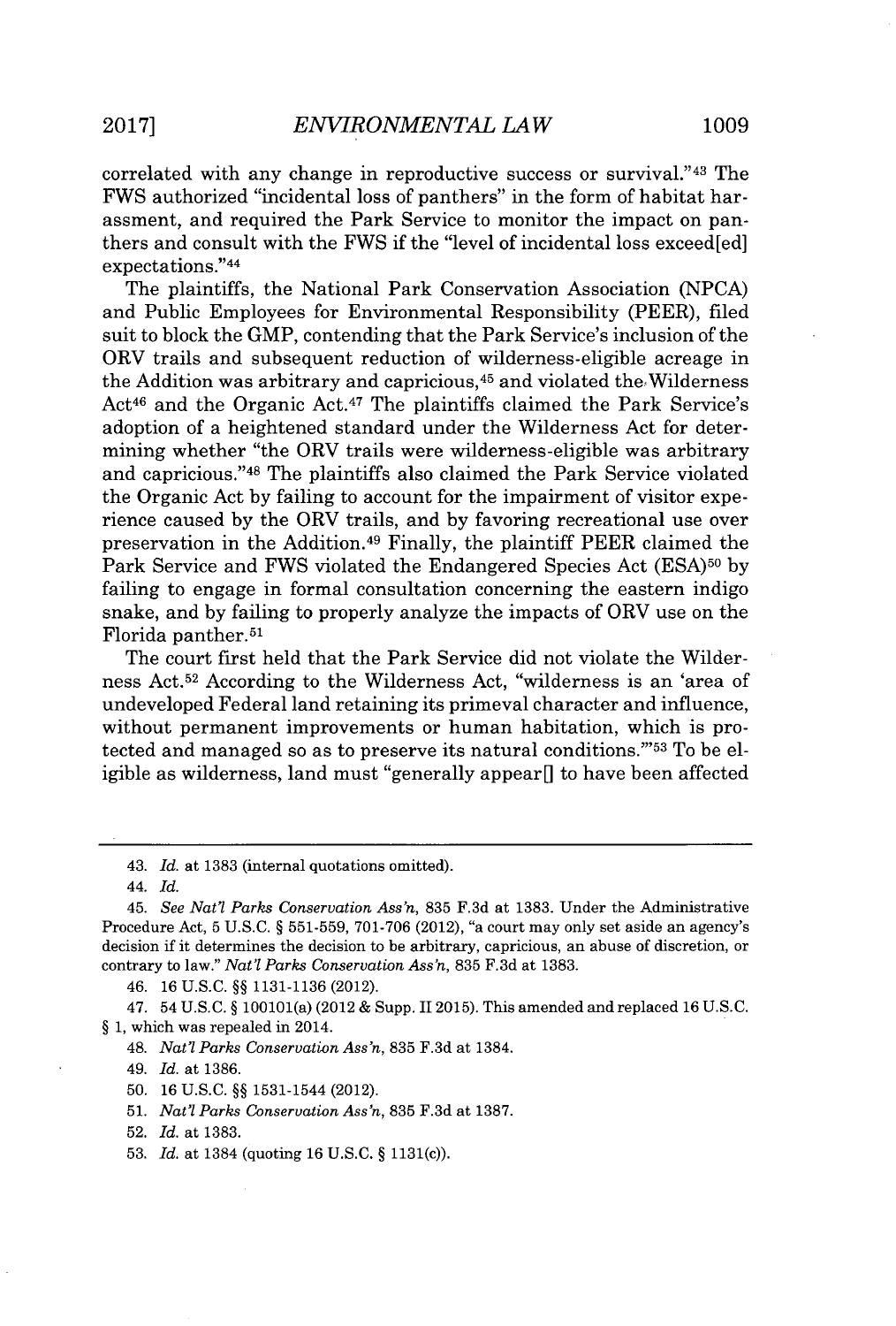correlated with any change in reproductive success or survival."<sup>43</sup> The FWS authorized "incidental loss of panthers" in the form of habitat harassment, and required the Park Service to monitor the impact on panthers and consult with the FWS if the "level of incidental loss exceed[ed] expectations." <sup>44</sup>

The plaintiffs, the National Park Conservation Association **(NPCA)** and Public Employees for Environmental Responsibility (PEER), filed suit to block the GMP, contending that the Park Service's inclusion of the ORV trails and subsequent reduction of wilderness-eligible acreage in the Addition was arbitrary and capricious,<sup>45</sup> and violated the Wilderness Act<sup>46</sup> and the Organic Act.<sup>47</sup> The plaintiffs claimed the Park Service's adoption of a heightened standard under the Wilderness Act for determining whether "the ORV trails were wilderness-eligible was arbitrary and capricious."<sup>48</sup> The plaintiffs also claimed the Park Service violated the Organic Act **by** failing to account for the impairment of visitor experience caused **by** the ORV trails, and **by** favoring recreational use over preservation in the Addition.<sup>49</sup> Finally, the plaintiff PEER claimed the Park Service and FWS violated the Endangered Species Act **(ESA)50 by** failing to engage in formal consultation concerning the eastern indigo snake, and **by** failing to properly analyze the impacts of ORV use on the Florida panther.<sup>51</sup>

The court first held that the Park Service did not violate the Wilderness Act.<sup>52</sup> According to the Wilderness Act, "wilderness is an 'area of undeveloped Federal land retaining its primeval character and influence, without permanent improvements or human habitation, which is protected and managed so as to preserve its natural conditions."53 To be eligible as wilderness, land must "generally appear $\parallel$  to have been affected

47. 54 **U.S.C. §** 100101(a) (2012 **&** Supp. **112015).** This amended and replaced **16 U.S.C. § 1,** which was repealed in 2014.

48. *Nat'l Parks Conservation Assn,* **835 F.3d** at 1384.

*49. Id.* at **1386.**

- **50. 16 U.S.C. §§** 1531-1544 (2012).
- **51.** *Nat'l Parks Conservation Assn,* **835 F.3d** at **1387.**
- **52.** *Id.* at **1383.**
- **53.** *Id.* at 1384 (quoting **16 U.S.C. §** 1131(c)).

<sup>43.</sup> *Id. at* **1383** (internal quotations omitted).

*<sup>44.</sup> Id.*

<sup>45.</sup> *See Nat? Parks Conservation Assn,* **835 F.3d** at **1383.** Under the Administrative Procedure Act, **5 U.S.C. § 551-559, 701-706** (2012), "a court may only set aside an agency's decision if it determines the decision to be arbitrary, capricious, an abuse of discretion, or contrary to law." *Nat'l Parks Conservation Ass'n*, 835 F.3d at 1383.

<sup>46.</sup> **16 U.S.C. §§ 1131-1136** (2012).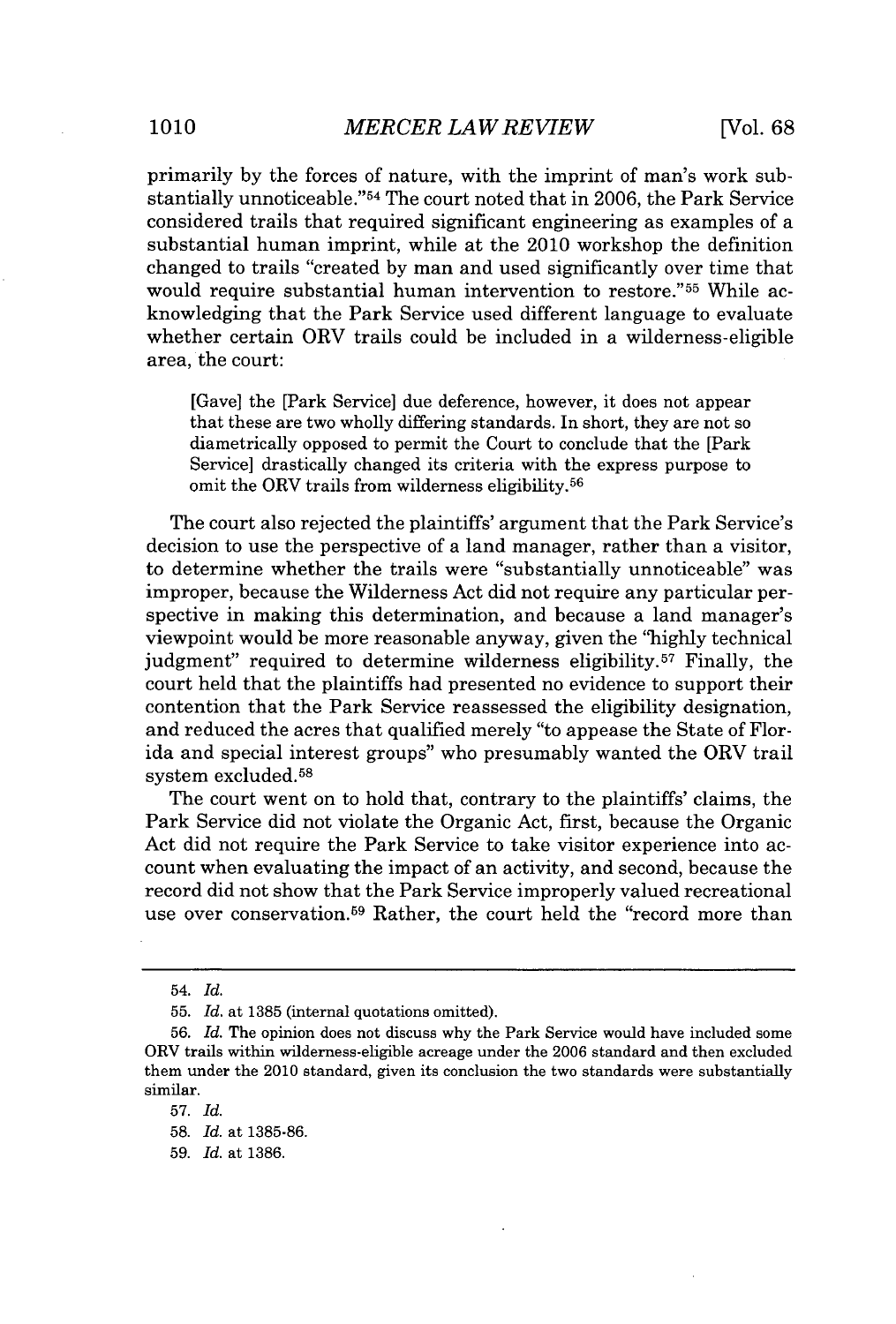primarily **by** the forces of nature, with the imprint of man's work substantially unnoticeable." <sup>54</sup>The court noted that in **2006,** the Park Service considered trails that required significant engineering as examples of a substantial human imprint, while at the 2010 workshop the definition changed to trails "created **by** man and used significantly over time that would require substantial human intervention to restore."<sup>55</sup> While acknowledging that the Park Service used different language to evaluate whether certain ORV trails could be included in a wilderness-eligible area, the court:

[Gave] the [Park Service] due deference, however, it does not appear that these are two wholly differing standards. In short, they are not so diametrically opposed to permit the Court to conclude that the [Park Service] drastically changed its criteria with the express purpose to omit the ORV trails from wilderness eligibility.<sup>56</sup>

The court also rejected the plaintiffs' argument that the Park Service's decision to use the perspective of a land manager, rather than a visitor, to determine whether the trails were "substantially unnoticeable" was improper, because the Wilderness Act did not require any particular perspective in making this determination, and because a land manager's viewpoint would be more reasonable anyway, given the **"highly** technical judgment" required to determine wilderness eligibility.<sup>57</sup> Finally, the court held that the plaintiffs had presented no evidence to support their contention that the Park Service reassessed the eligibility designation, and reduced the acres that qualified merely "to appease the State of Florida and special interest groups" who presumably wanted the ORV trail system excluded.<sup>58</sup>

The court went on to hold that, contrary to the plaintiffs' claims, the Park Service did not violate the Organic Act, first, because the Organic Act did not require the Park Service to take visitor experience into account when evaluating the impact of an activity, and second, because the record did not show that the Park Service improperly valued recreational use over conservation.<sup>59</sup> Rather, the court held the "record more than

<sup>54.</sup> *Id.*

**<sup>55.</sup>** *Id.* at **1385** (internal quotations omitted).

**<sup>56.</sup>** *Id.* The opinion does not discuss why the Park Service would have included some ORV trails within wilderness-eligible acreage under the **2006** standard and then excluded them under the 2010 standard, given its conclusion the two standards were substantially similar.

**<sup>57.</sup>** *Id.*

**<sup>58.</sup>** *Id.* at **1385-86.**

**<sup>59.</sup>** *Id.* at **1386.**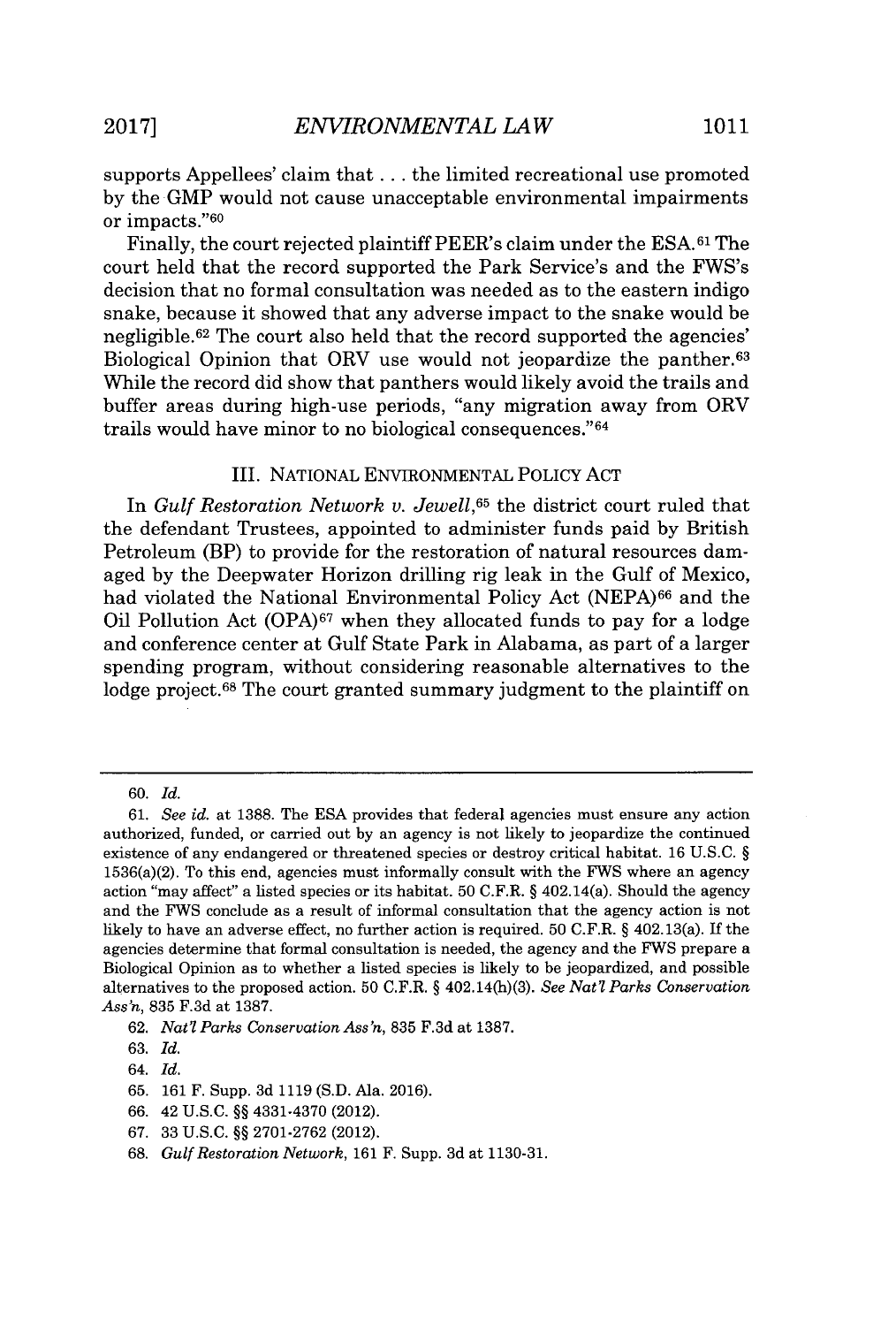supports Appellees' claim that **.** . **.** the limited recreational use promoted **by** the GMP would not cause unacceptable environmental impairments or impacts."<sup>60</sup>

Finally, the court rejected plaintiff PEER's claim under the **ESA.61** The court held that the record supported the Park Service's and the FWS's decision that no formal consultation was needed as to the eastern indigo snake, because it showed that any adverse impact to the snake would be negligible. $62$  The court also held that the record supported the agencies' Biological Opinion that ORV use would not jeopardize the panther.<sup>63</sup> While the record did show that panthers would likely avoid the trails and buffer areas during high-use periods, "any migration away from ORV trails would have minor to no biological consequences."<sup>64</sup>

#### III. NATIONAL ENVIRONMENTAL POLICY **ACT**

In *Gulf Restoration Network v. Jewell,<sup>65</sup>*the district court ruled that the defendant Trustees, appointed to administer funds paid **by** British Petroleum (BP) to provide for the restoration of natural resources damaged **by** the Deepwater Horizon drilling rig leak in the Gulf of Mexico, had violated the National Environmental Policy Act **(NEPA)<sup>6</sup> <sup>6</sup>**and the Oil Pollution Act **(OPA)67** when they allocated funds to pay for a lodge and conference center at Gulf State Park in Alabama, as part of a larger spending program, without considering reasonable alternatives to the lodge project.<sup>68</sup> The court granted summary judgment to the plaintiff on

**<sup>60.</sup>** *Id.*

*<sup>61.</sup> See id. at* **1388.** The **ESA** provides that federal agencies must ensure any action authorized, funded, or carried out **by** an agency is not likely to jeopardize the continued existence of any endangered or threatened species or destroy critical habitat. **16 U.S.C. §** 1536(a)(2). To this end, agencies must informally consult with the FWS where an agency action "may affect" a listed species or its habitat. **50** C.F.R. **§** 402.14(a). Should the agency and the FWS conclude as a result of informal consultation that the agency action is not likely to have an adverse effect, no further action is required. **50** C.F.R. **§** 402.13(a). **If** the agencies determine that formal consultation is needed, the agency and the FWS prepare a Biological Opinion as to whether a listed species is likely to be jeopardized, and possible alternatives to the proposed action. **50** C.F.R. **§** 402.14(h)(3). *See Natl Parks Conservation Ass'n,* **835 F.3d** at **1387.**

**<sup>62.</sup>** *Nat'l Parks Conservation Ass'n,* **835 F.3d** at **1387.**

**<sup>63.</sup>** *Id.*

<sup>64.</sup> *Id.*

**<sup>65. 161</sup>** F. Supp. **3d 1119 (S.D.** Ala. **2016).**

**<sup>66.</sup>** 42 **U.S.C. §§** 4331-4370 (2012).

**<sup>67. 33</sup> U.S.C. §§ 2701-2762** (2012).

**<sup>68.</sup>** *Gulf Restoration Network,* **161** F. Supp. **3d** at **1130-31.**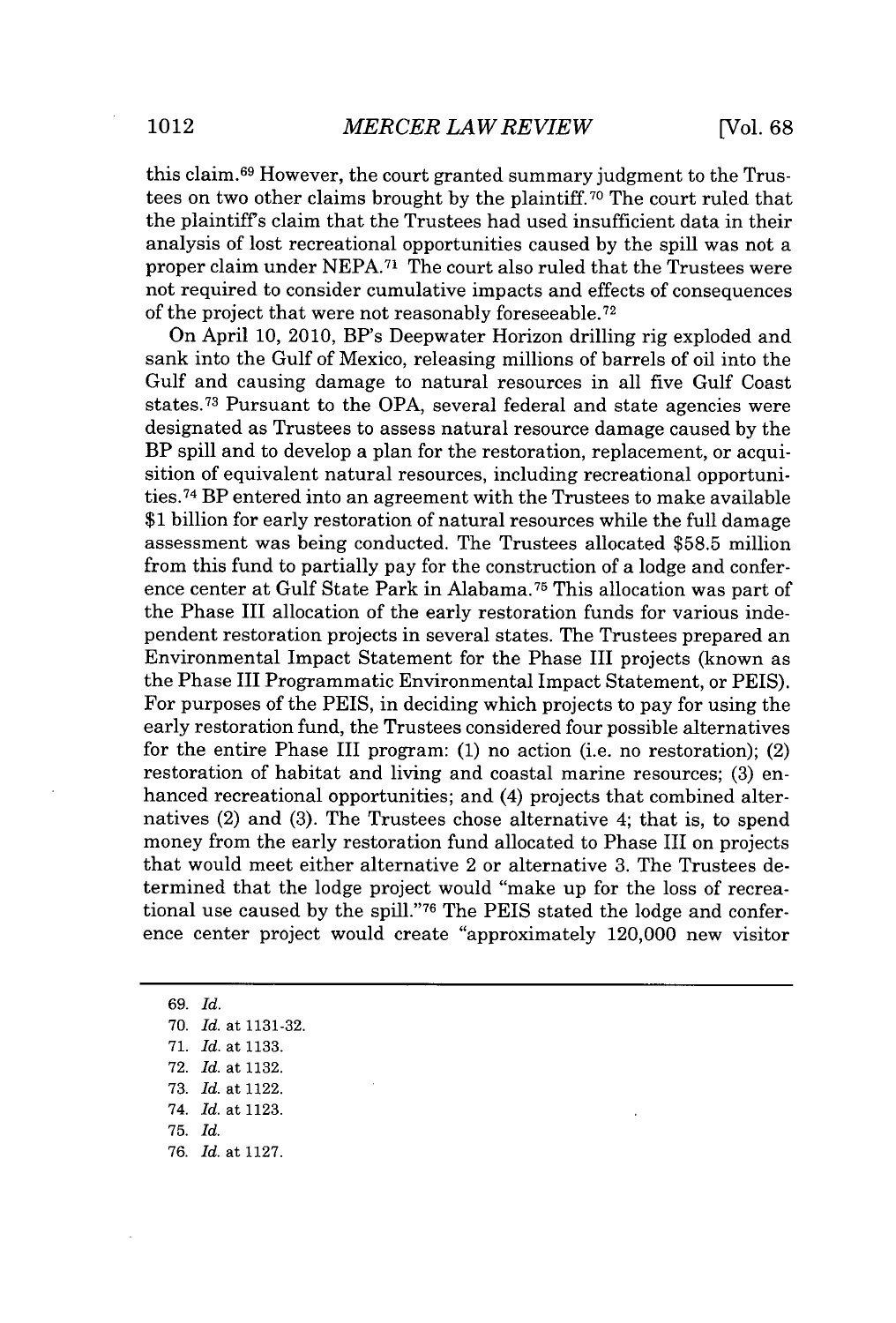this claim.<sup>69</sup> However, the court granted summary judgment to the Trustees on two other claims brought **by** the plaintiff.70 The court ruled that the plaintiffs claim that the Trustees had used insufficient data in their analysis of lost recreational opportunities caused **by** the spill was not a proper claim under **NEPA.71** The court also ruled that the Trustees were not required to consider cumulative impacts and effects of consequences of the project that were not reasonably foreseeable. <sup>72</sup>

On April **10,** 2010, BP's Deepwater Horizon drilling rig exploded and sank into the Gulf of Mexico, releasing millions of barrels of oil into the Gulf and causing damage to natural resources in all five Gulf Coast states.<sup>73</sup> Pursuant to the OPA, several federal and state agencies were designated as Trustees to assess natural resource damage caused **by** the BP spill and to develop a plan for the restoration, replacement, or acquisition of equivalent natural resources, including recreational opportunities.<sup>74</sup>BP entered into an agreement with the Trustees to make available **\$1** billion for early restoration of natural resources while the full damage assessment was being conducted. The Trustees allocated **\$58.5** million from this fund to partially pay for the construction of a lodge and conference center at Gulf State Park in Alabama.<sup>75</sup> This allocation was part of the Phase III allocation of the early restoration funds for various independent restoration projects in several states. The Trustees prepared an Environmental Impact Statement for the Phase III projects (known as the Phase III Programmatic Environmental Impact Statement, or **PEIS).** For purposes of the **PEIS,** in deciding which projects to pay for using the early restoration fund, the Trustees considered four possible alternatives for the entire Phase III program: **(1)** no action (i.e. no restoration); (2) restoration of habitat and living and coastal marine resources; **(3)** enhanced recreational opportunities; and (4) projects that combined alternatives (2) and **(3).** The Trustees chose alternative 4; that is, to spend money from the early restoration fund allocated to Phase III on projects that would meet either alternative 2 or alternative **3.** The Trustees determined that the lodge project would "make up for the loss of recreational use caused **by** the **spill."7 6** The **PEIS** stated the lodge and conference center project would create "approximately 120,000 new visitor

*69. Id.* **70.** *Id.* at **1131-32. 71.** *Id.* at **1133. 72.** *Id.* at **1132. 73.** *Id.* at 1122. *74. Id.* at **1123. 75.** *Id. 76. Id.* at **1127.**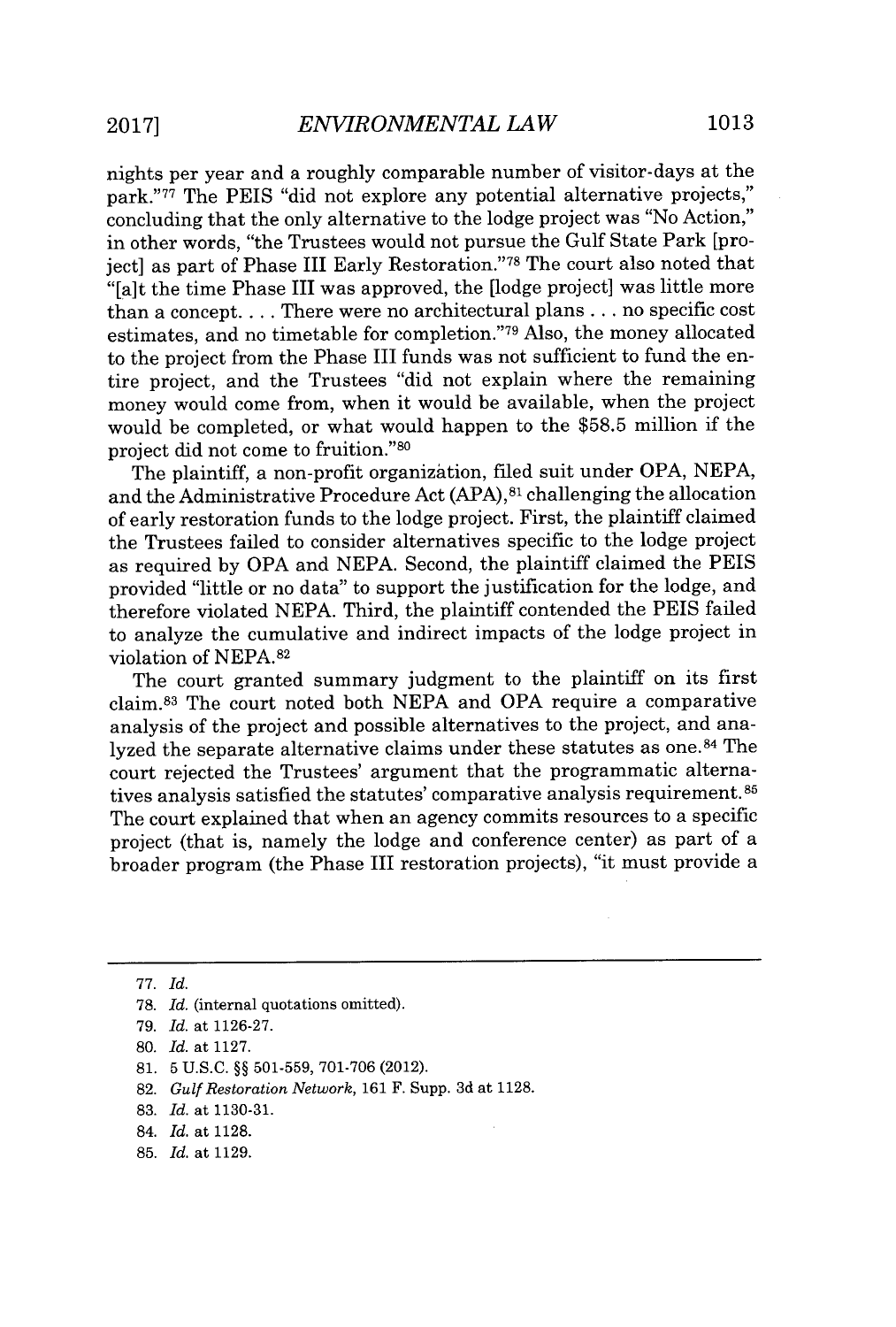nights per year and a roughly comparable number of visitor-days at the park."77 The PEIS "did not explore any potential alternative projects," concluding that the only alternative to the lodge project was "No Action," in other words, "the Trustees would not pursue the Gulf State Park [projectl as part of Phase III Early Restoration."<sup>78</sup> The court also noted that "[a]t the time Phase III was approved, the [lodge project] was little more than a concept. . . **.** There were no architectural plans **.** . **.** no specific cost estimates, and no timetable for completion."<sup>79</sup>Also, the money allocated to the project from the Phase III funds was not sufficient to fund the entire project, and the Trustees "did not explain where the remaining money would come from, when it would be available, when the project would be completed, or what would happen to the **\$58.5** million if the project did not come to fruition."<sup>80</sup>

The plaintiff, a non-profit organization, filed suit under OPA, **NEPA,** and the Administrative Procedure Act **(APA),81** challenging the allocation of early restoration funds to the lodge project. First, the plaintiff claimed the Trustees failed to consider alternatives specific to the lodge project as required **by** OPA and **NEPA.** Second, the plaintiff claimed the **PEIS** provided "little or no data" to support the justification for the lodge, and therefore violated **NEPA.** Third, the plaintiff contended the PEIS failed to analyze the cumulative and indirect impacts of the lodge project in violation of **NEPA. <sup>82</sup>**

The court granted summary judgment to the plaintiff on its first claim. <sup>83</sup>The court noted both **NEPA** and OPA require a comparative analysis of the project and possible alternatives to the project, and analyzed the separate alternative claims under these statutes as one.<sup>84</sup> The court rejected the Trustees' argument that the programmatic alternatives analysis satisfied the statutes' comparative analysis requirement. **<sup>8</sup>** The court explained that when an agency commits resources to a specific project (that is, namely the lodge and conference center) as part of a broader program (the Phase III restoration projects), "it must provide a

**85.** *Id.* at **1129.**

**<sup>77.</sup>** *Id.*

**<sup>78.</sup>** *Id.* (internal quotations omitted).

*<sup>79.</sup> Id.* at **1126-27.**

**<sup>80.</sup>** *Id.* at **1127.**

**<sup>81. 5</sup> U.S.C. §§ 501-559, 701-706** (2012).

**<sup>82.</sup>** *Gulf Restoration Network,* **161** F. Supp. **3d** at **1128.**

**<sup>83.</sup>** *Id.* at **1130-31.**

<sup>84.</sup> *Id.* at **1128.**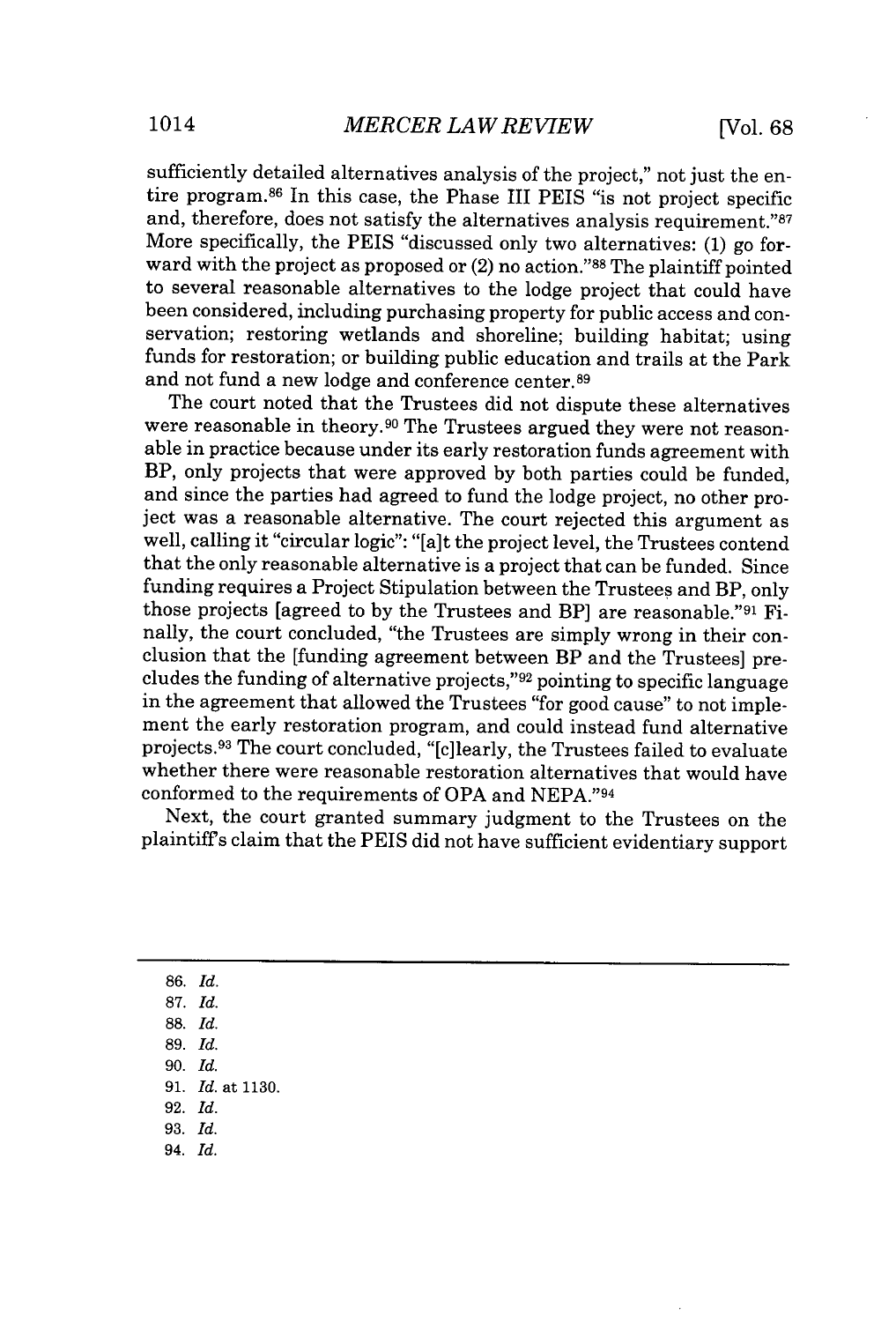sufficiently detailed alternatives analysis of the project," not just the entire program.<sup>86</sup> In this case, the Phase III PEIS "is not project specific and, therefore, does not satisfy the alternatives analysis requirement."87 More specifically, the PEIS "discussed only two alternatives: **(1)** go forward with the project as proposed or  $(2)$  no action."<sup>88</sup> The plaintiff pointed to several reasonable alternatives to the lodge project that could have been considered, including purchasing property for public access and conservation; restoring wetlands and shoreline; building habitat; using funds for restoration; or building public education and trails at the Park and not fund a new lodge and conference center.<sup>89</sup>

The court noted that the Trustees did not dispute these alternatives were reasonable in theory.90 The Trustees argued they were not reasonable in practice because under its early restoration funds agreement with BP, only projects that were approved **by** both parties could be funded, and since the parties had agreed to fund the lodge project, no other project was a reasonable alternative. The court rejected this argument as well, calling it "circular logic": "[a]t the project level, the Trustees contend that the only reasonable alternative is a project that can be funded. Since funding requires a Project Stipulation between the Trustees and BP, only those projects [agreed to by the Trustees and BP] are reasonable."<sup>91</sup> Finally, the court concluded, "the Trustees are simply wrong in their conclusion that the [funding agreement between BP and the Trustees] precludes the funding of alternative projects,"<sup>92</sup> pointing to specific language in the agreement that allowed the Trustees "for good cause" to not implement the early restoration program, and could instead fund alternative projects.<sup>93</sup>The court concluded, "[c]learly, the Trustees failed to evaluate whether there were reasonable restoration alternatives that would have conformed to the requirements of OPA and **NEPA."94**

Next, the court granted summary judgment to the Trustees on the plaintiffs claim that the PEIS did not have sufficient evidentiary support

**86.** *Id.* **87.** *Id.* **88.** *Id.* **89.** *Id.* **90.** *Id.* **91.** *Id.* at **1130. 92.** *Id.* **93.** *Id. 94. Id.*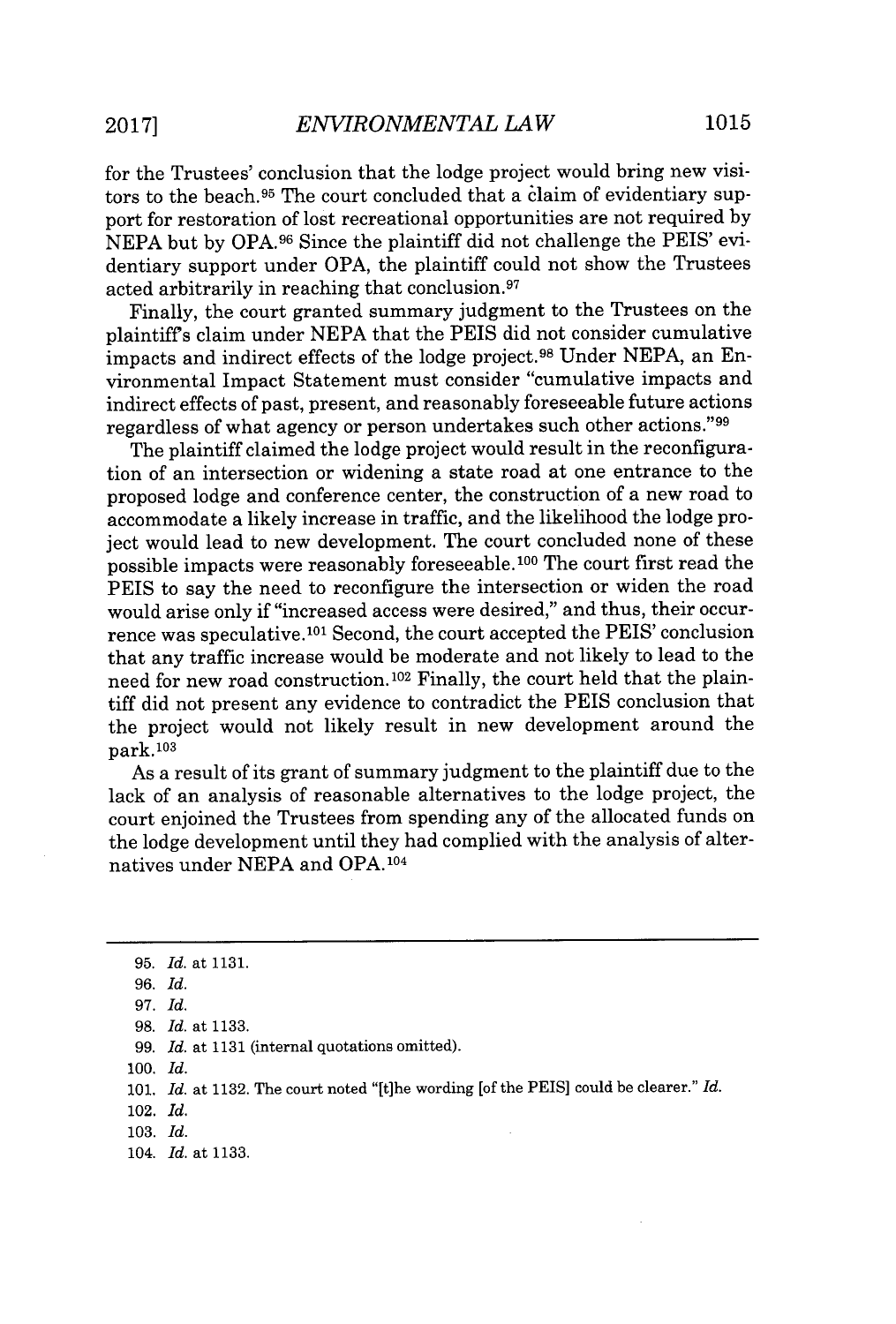for the Trustees' conclusion that the lodge project would bring new visitors to the beach.95 The court concluded that a claim of evidentiary support for restoration of lost recreational opportunities are not required **by NEPA** but **by OPA. <sup>9</sup> 6** Since the plaintiff did not challenge the PEIS' evidentiary support under OPA, the plaintiff could not show the Trustees acted arbitrarily in reaching that conclusion.<sup>97</sup>

Finally, the court granted summary judgment to the Trustees on the plaintiffs claim under **NEPA** that the PEIS did not consider cumulative impacts and indirect effects of the lodge project.<sup>98</sup> Under NEPA, an Environmental Impact Statement must consider "cumulative impacts and indirect effects of past, present, and reasonably foreseeable future actions regardless of what agency or person undertakes such other actions."<sup>99</sup>

The plaintiff claimed the lodge project would result in the reconfiguration of an intersection or widening a state road at one entrance to the proposed lodge and conference center, the construction of a new road to accommodate a likely increase in traffic, and the likelihood the lodge project would lead to new development. The court concluded none of these possible impacts were reasonably foreseeable. 100 The court first read the PEIS to say the need to reconfigure the intersection or widen the road would arise only if "increased access were desired," and thus, their occurrence was speculative.<sup>101</sup> Second, the court accepted the PEIS' conclusion that any traffic increase would be moderate and not likely to lead to the need for new road construction. 102 Finally, the court held that the plaintiff did not present any evidence to contradict the PEIS conclusion that the project would not likely result in new development around the park. <sup>103</sup>

As a result of its grant of summary judgment to the plaintiff due to the lack of an analysis of reasonable alternatives to the lodge project, the court enjoined the Trustees from spending any of the allocated funds on the lodge development until they had complied with the analysis of alternatives under **NEPA** and OPA.1<sup>0</sup> 4

**100.** *Id.*

**<sup>95.</sup>** *Id.* at **1131.**

*<sup>96.</sup> Id.*

*<sup>97.</sup> Id.*

*<sup>98.</sup> Id.* at **1133.**

*<sup>99.</sup> Id.* at **1131** (internal quotations omitted).

**<sup>101.</sup>** *Id.* at **1132.** The court noted "[tihe wording [of the PEIS] could be clearer." *Id.*

<sup>102.</sup> *Id.*

**<sup>103.</sup>** *Id.*

<sup>104.</sup> *Id.* at **1133.**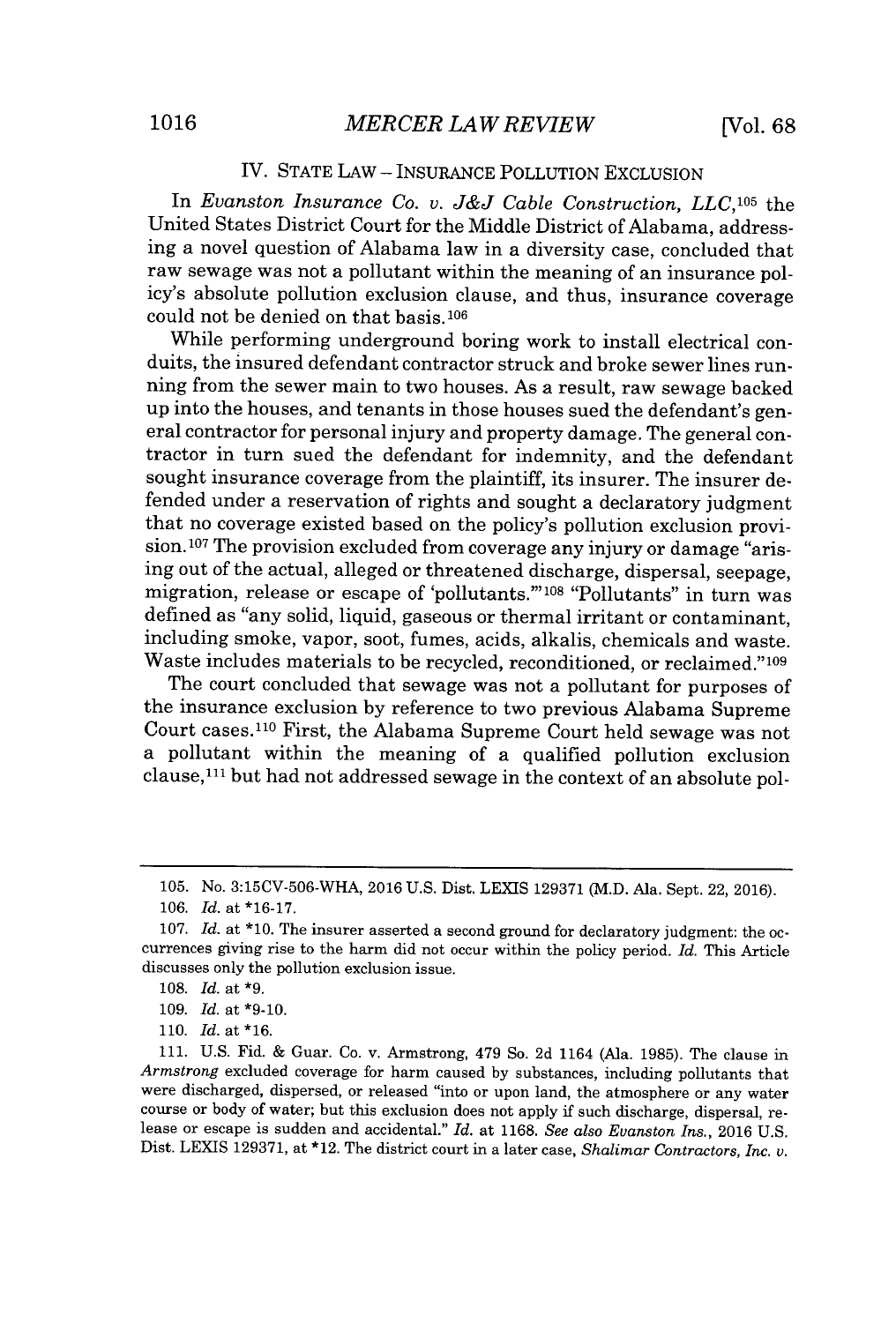### IV. **STATE** LAW **- INSURANCE** POLLUTION EXCLUSION

In *Evanston Insurance Co. v. J&J Cable Construction, LLC,105* the United States District Court for the Middle District of Alabama, addressing a novel question of Alabama law in a diversity case, concluded that raw sewage was not a pollutant within the meaning of an insurance policy's absolute pollution exclusion clause, and thus, insurance coverage could not be denied on that basis.10<sup>6</sup>

While performing underground boring work to install electrical conduits, the insured defendant contractor struck and broke sewer lines running from the sewer main to two houses. As a result, raw sewage backed up into the houses, and tenants in those houses sued the defendant's general contractor for personal injury and property damage. The general contractor in turn sued the defendant for indemnity, and the defendant sought insurance coverage from the plaintiff, its insurer. The insurer defended under a reservation of rights and sought a declaratory judgment that no coverage existed based on the policy's pollution exclusion provision.<sup>107</sup> The provision excluded from coverage any injury or damage "arising out of the actual, alleged or threatened discharge, dispersal, seepage, migration, release or escape of 'pollutants."'08 "Pollutants" in turn was defined as "any solid, liquid, gaseous or thermal irritant or contaminant, including smoke, vapor, soot, fumes, acids, alkalis, chemicals and waste. Waste includes materials to be recycled, reconditioned, or reclaimed."109

The court concluded that sewage was not a pollutant for purposes of the insurance exclusion **by** reference to two previous Alabama Supreme Court cases.<sup>110</sup> First, the Alabama Supreme Court held sewage was not a pollutant within the meaning of a qualified pollution exclusion clause, $^{111}$  but had not addressed sewage in the context of an absolute pol-

**<sup>105.</sup>** No. 3:15CV-506-WHA, **2016 U.S.** Dist. LEXIS **129371** (M.D. Ala. Sept. 22, **2016).**

*<sup>106.</sup> Id.* at **\*16-17.**

**<sup>107.</sup>** *Id.* at **\*10.** The insurer asserted a second ground for declaratory judgment: the **oc**currences giving rise to the harm did not occur within the policy period. *Id.* This Article discusses only the pollution exclusion issue.

*<sup>108.</sup> Id.* at **\*9.**

**<sup>109.</sup>** *Id.* at **\*9-10.**

**<sup>110.</sup>** Id. at \*16.

**<sup>111.</sup> U.S.** Fid. **&** Guar. Co. v. Armstrong, 479 So. **2d** 1164 (Ala. **1985).** The clause in *Armstrong* excluded coverage for harm caused **by** substances, including pollutants that were discharged, dispersed, or released "into or upon land, the atmosphere or any water course or body of water; but this exclusion does not apply if such discharge, dispersal, release or escape is sudden and accidental." *Id.* at **1168.** *See also Evanston Ins.,* **2016 U.S.** Dist. LEXIS **129371,** at \*12. The district court in a later case, *Shalimar Contractors, Inc. v.*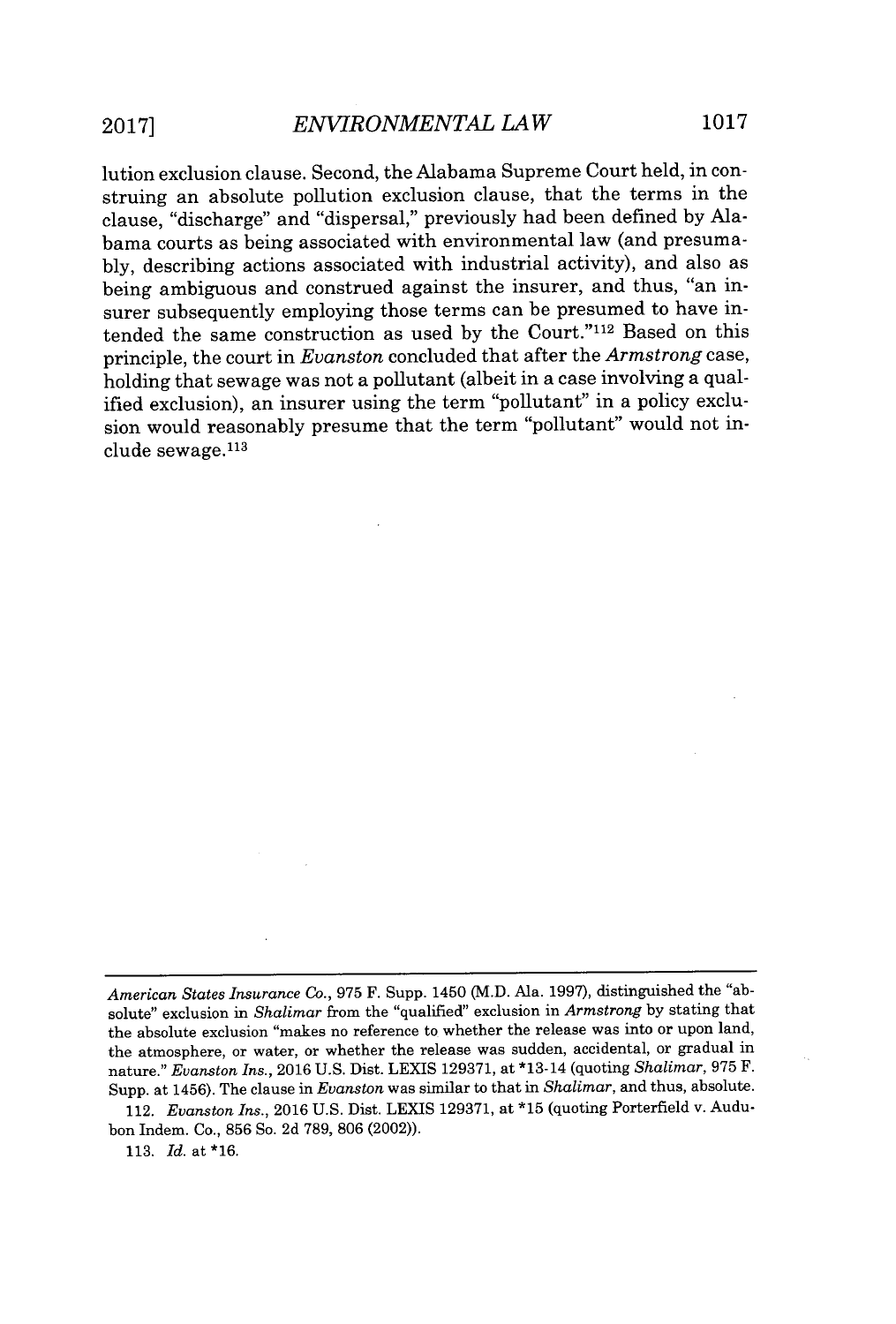lution exclusion clause. Second, the Alabama Supreme Court held, in construing an absolute pollution exclusion clause, that the terms in the clause, "discharge" and "dispersal," previously had been defined **by** Alabama courts as being associated with environmental law (and presuma**bly,** describing actions associated with industrial activity), and also as being ambiguous and construed against the insurer, and thus, "an insurer subsequently employing those terms can be presumed to have intended the same construction as used by the Court."<sup>112</sup> Based on this principle, the court in *Evanston* concluded that after the *Armstrong* case, holding that sewage was not a pollutant (albeit in a case involving a qualified exclusion), an insurer using the term "pollutant" in a policy exclusion would reasonably presume that the term "pollutant" would not in $clude$  sewage. $113$ 

*American States Insurance Co.,* **975** F. Supp. 1450 (M.D. Ala. **1997),** distinguished the "absolute" exclusion in *Shalimar* from the "qualified" exclusion in *Armstrong* **by** stating that the absolute exclusion "makes no reference to whether the release was into or upon land, the atmosphere, or water, or whether the release was sudden, accidental, or gradual in nature." *Evanston Ins.,* **2016 U.S.** Dist. LEXIS **129371,** at \*13-14 (quoting *Shalimar,* **975** F. Supp. at 1456). The clause in *Evanston* was similar to that in *Shalimar,* and thus, absolute.

<sup>112.</sup> *Evanston Ins.,* **2016 U.S.** Dist. **LEXIS 129371,** at **\*15** (quoting Porterfield v. Audubon Indem. Co., **856** So. **2d 789, 806** (2002)).

**<sup>113.</sup>** *Id.* at **\*16.**